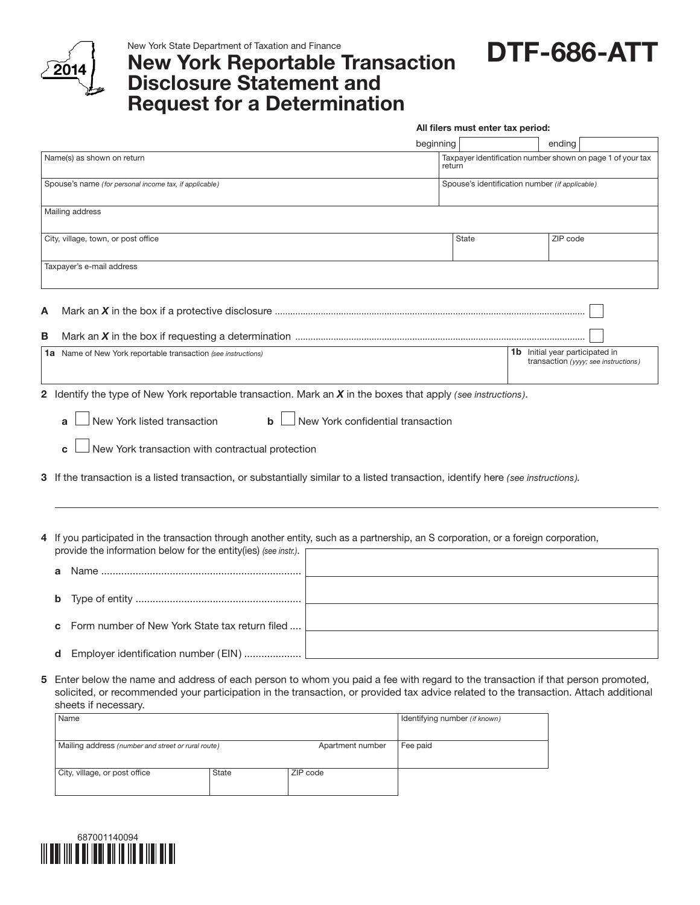

New York State Department of Taxation and Finance

## New York Reportable Transaction Disclosure Statement and Request for a Determination

DTF-686-ATT

|   |                                                                                                                                                                                                                                                                                    | All filers must enter tax period: |                                                                                |  |  |  |
|---|------------------------------------------------------------------------------------------------------------------------------------------------------------------------------------------------------------------------------------------------------------------------------------|-----------------------------------|--------------------------------------------------------------------------------|--|--|--|
|   |                                                                                                                                                                                                                                                                                    | beginning                         | ending                                                                         |  |  |  |
|   | Name(s) as shown on return                                                                                                                                                                                                                                                         | return                            | Taxpayer identification number shown on page 1 of your tax                     |  |  |  |
|   | Spouse's name (for personal income tax, if applicable)                                                                                                                                                                                                                             |                                   | Spouse's identification number (if applicable)                                 |  |  |  |
|   | Mailing address                                                                                                                                                                                                                                                                    |                                   |                                                                                |  |  |  |
|   | City, village, town, or post office                                                                                                                                                                                                                                                | <b>State</b>                      | ZIP code                                                                       |  |  |  |
|   | Taxpayer's e-mail address                                                                                                                                                                                                                                                          |                                   |                                                                                |  |  |  |
| А |                                                                                                                                                                                                                                                                                    |                                   |                                                                                |  |  |  |
| В |                                                                                                                                                                                                                                                                                    |                                   |                                                                                |  |  |  |
|   | <b>1a</b> Name of New York reportable transaction (see instructions)                                                                                                                                                                                                               |                                   | <b>1b</b> Initial year participated in<br>transaction (yyyy; see instructions) |  |  |  |
|   | New York listed transaction<br>New York confidential transaction<br>$\mathbf b$<br>a<br>New York transaction with contractual protection<br>C<br>3 If the transaction is a listed transaction, or substantially similar to a listed transaction, identify here (see instructions). |                                   |                                                                                |  |  |  |
|   | 4 If you participated in the transaction through another entity, such as a partnership, an S corporation, or a foreign corporation,<br>provide the information below for the entity(ies) (see instr.).<br>b<br>Form number of New York State tax return filed<br>c                 |                                   |                                                                                |  |  |  |
|   | Employer identification number (EIN)  <br>d                                                                                                                                                                                                                                        |                                   |                                                                                |  |  |  |
|   | 5 Enter below the name and address of each person to whom you paid a fee with regard to the transaction if that person promoted,                                                                                                                                                   |                                   |                                                                                |  |  |  |

solicited, or recommended your participation in the transaction, or provided tax advice related to the transaction. Attach additional sheets if necessary.

| Name                                               |       |                  | Identifying number (if known) |
|----------------------------------------------------|-------|------------------|-------------------------------|
|                                                    |       |                  |                               |
| Mailing address (number and street or rural route) |       | Apartment number | Fee paid                      |
|                                                    |       |                  |                               |
| City, village, or post office                      | State | ZIP code         |                               |
|                                                    |       |                  |                               |
|                                                    |       |                  |                               |